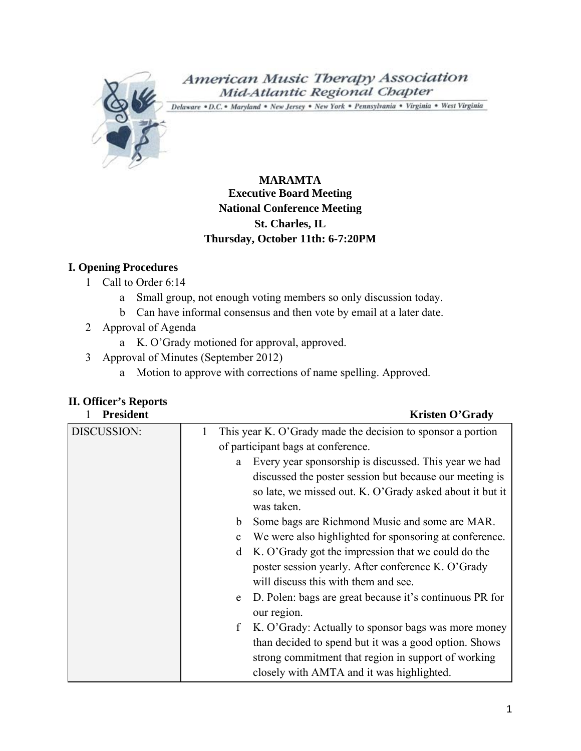

# American Music Therapy Association Mid-Atlantic Regional Chapter

Delaware . D.C. . Maryland . New Jersey . New York . Pennsylvania . Virginia . West Virginia

# **MARAMTA Executive Board Meeting National Conference Meeting St. Charles, IL Thursday, October 11th: 6-7:20PM**

# **I. Opening Procedures**

- 1 Call to Order 6:14
	- a Small group, not enough voting members so only discussion today.
	- b Can have informal consensus and then vote by email at a later date.
- 2 Approval of Agenda
	- a K. O'Grady motioned for approval, approved.
- 3 Approval of Minutes (September 2012)
	- a Motion to approve with corrections of name spelling. Approved.

# **II. Officer's Reports**

| <b>President</b> | <b>Kristen O'Grady</b>                                                      |  |  |
|------------------|-----------------------------------------------------------------------------|--|--|
| DISCUSSION:      | This year K. O'Grady made the decision to sponsor a portion<br>1            |  |  |
|                  | of participant bags at conference.                                          |  |  |
|                  | Every year sponsorship is discussed. This year we had<br>a                  |  |  |
|                  | discussed the poster session but because our meeting is                     |  |  |
|                  | so late, we missed out. K. O'Grady asked about it but it                    |  |  |
|                  | was taken.                                                                  |  |  |
|                  | Some bags are Richmond Music and some are MAR.<br>$\mathbf b$               |  |  |
|                  | We were also highlighted for sponsoring at conference.<br>$\mathbf{c}$      |  |  |
|                  | K. O'Grady got the impression that we could do the<br>d                     |  |  |
|                  | poster session yearly. After conference K. O'Grady                          |  |  |
|                  | will discuss this with them and see.                                        |  |  |
|                  | D. Polen: bags are great because it's continuous PR for<br>e<br>our region. |  |  |
|                  | K. O'Grady: Actually to sponsor bags was more money<br>$\mathbf f$          |  |  |
|                  | than decided to spend but it was a good option. Shows                       |  |  |
|                  | strong commitment that region in support of working                         |  |  |
|                  | closely with AMTA and it was highlighted.                                   |  |  |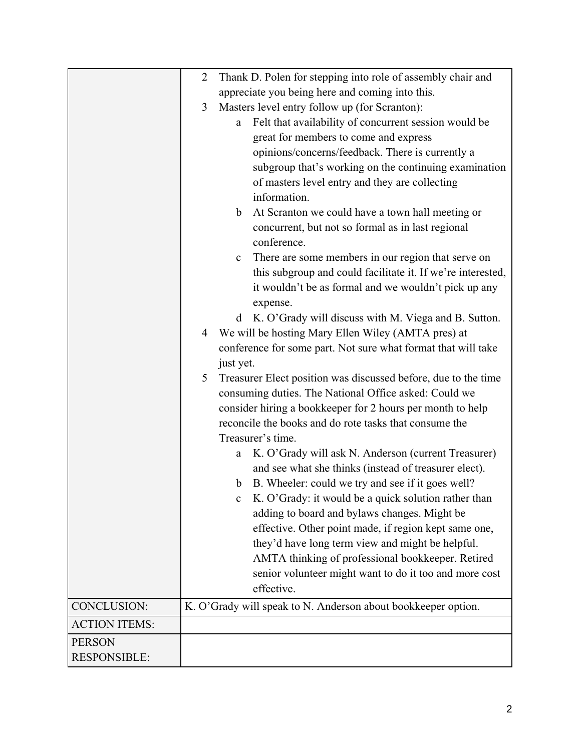|                      | $\overline{2}$ | Thank D. Polen for stepping into role of assembly chair and          |
|----------------------|----------------|----------------------------------------------------------------------|
|                      |                | appreciate you being here and coming into this.                      |
|                      | 3              | Masters level entry follow up (for Scranton):                        |
|                      |                | Felt that availability of concurrent session would be<br>a           |
|                      |                | great for members to come and express                                |
|                      |                | opinions/concerns/feedback. There is currently a                     |
|                      |                | subgroup that's working on the continuing examination                |
|                      |                | of masters level entry and they are collecting                       |
|                      |                | information.                                                         |
|                      |                | At Scranton we could have a town hall meeting or<br>b                |
|                      |                | concurrent, but not so formal as in last regional                    |
|                      |                | conference.                                                          |
|                      |                | There are some members in our region that serve on<br>$\mathbf c$    |
|                      |                | this subgroup and could facilitate it. If we're interested,          |
|                      |                | it wouldn't be as formal and we wouldn't pick up any                 |
|                      |                | expense.                                                             |
|                      |                | K. O'Grady will discuss with M. Viega and B. Sutton.<br>d            |
|                      | 4              | We will be hosting Mary Ellen Wiley (AMTA pres) at                   |
|                      |                | conference for some part. Not sure what format that will take        |
|                      |                | just yet.                                                            |
|                      | 5              | Treasurer Elect position was discussed before, due to the time       |
|                      |                | consuming duties. The National Office asked: Could we                |
|                      |                | consider hiring a bookkeeper for 2 hours per month to help           |
|                      |                | reconcile the books and do rote tasks that consume the               |
|                      |                | Treasurer's time.                                                    |
|                      |                | K. O'Grady will ask N. Anderson (current Treasurer)<br>a             |
|                      |                | and see what she thinks (instead of treasurer elect).                |
|                      |                | B. Wheeler: could we try and see if it goes well?<br>b               |
|                      |                | K. O'Grady: it would be a quick solution rather than<br>$\mathbf{c}$ |
|                      |                | adding to board and bylaws changes. Might be                         |
|                      |                | effective. Other point made, if region kept same one,                |
|                      |                | they'd have long term view and might be helpful.                     |
|                      |                | AMTA thinking of professional bookkeeper. Retired                    |
|                      |                | senior volunteer might want to do it too and more cost               |
|                      |                | effective.                                                           |
| CONCLUSION:          |                | K. O'Grady will speak to N. Anderson about bookkeeper option.        |
| <b>ACTION ITEMS:</b> |                |                                                                      |
| <b>PERSON</b>        |                |                                                                      |
| <b>RESPONSIBLE:</b>  |                |                                                                      |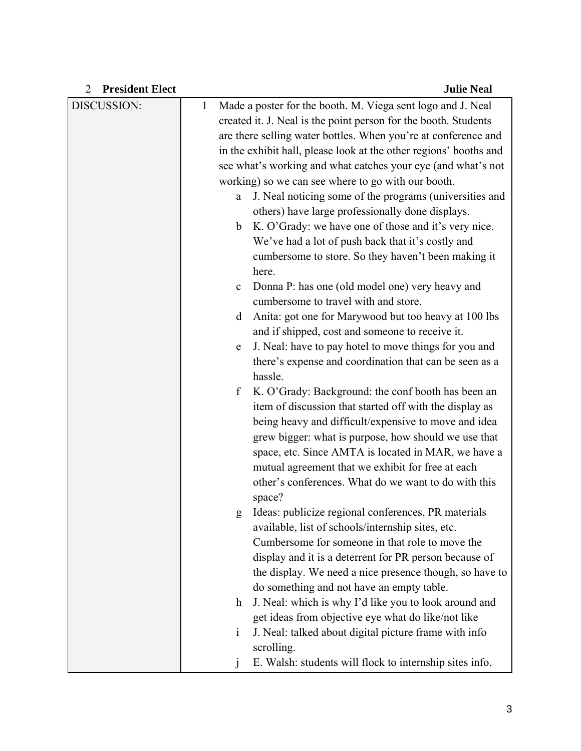| <b>President Elect</b><br>$\overline{2}$ |              | <b>Julie Neal</b>                                                 |  |  |
|------------------------------------------|--------------|-------------------------------------------------------------------|--|--|
| DISCUSSION:                              | $\mathbf{1}$ | Made a poster for the booth. M. Viega sent logo and J. Neal       |  |  |
|                                          |              | created it. J. Neal is the point person for the booth. Students   |  |  |
|                                          |              | are there selling water bottles. When you're at conference and    |  |  |
|                                          |              | in the exhibit hall, please look at the other regions' booths and |  |  |
|                                          |              | see what's working and what catches your eye (and what's not      |  |  |
|                                          |              | working) so we can see where to go with our booth.                |  |  |
|                                          | a            | J. Neal noticing some of the programs (universities and           |  |  |
|                                          |              | others) have large professionally done displays.                  |  |  |
|                                          | b            | K. O'Grady: we have one of those and it's very nice.              |  |  |
|                                          |              | We've had a lot of push back that it's costly and                 |  |  |
|                                          |              | cumbersome to store. So they haven't been making it               |  |  |
|                                          |              | here.                                                             |  |  |
|                                          | $\mathbf c$  | Donna P: has one (old model one) very heavy and                   |  |  |
|                                          |              | cumbersome to travel with and store.                              |  |  |
|                                          | d            | Anita: got one for Marywood but too heavy at 100 lbs              |  |  |
|                                          |              | and if shipped, cost and someone to receive it.                   |  |  |
|                                          | ${\rm e}$    | J. Neal: have to pay hotel to move things for you and             |  |  |
|                                          |              | there's expense and coordination that can be seen as a            |  |  |
|                                          |              | hassle.                                                           |  |  |
|                                          | f            | K. O'Grady: Background: the conf booth has been an                |  |  |
|                                          |              | item of discussion that started off with the display as           |  |  |
|                                          |              | being heavy and difficult/expensive to move and idea              |  |  |
|                                          |              | grew bigger: what is purpose, how should we use that              |  |  |
|                                          |              | space, etc. Since AMTA is located in MAR, we have a               |  |  |
|                                          |              | mutual agreement that we exhibit for free at each                 |  |  |
|                                          |              | other's conferences. What do we want to do with this              |  |  |
|                                          |              | space?<br>Ideas: publicize regional conferences, PR materials     |  |  |
|                                          | g            | available, list of schools/internship sites, etc.                 |  |  |
|                                          |              | Cumbersome for someone in that role to move the                   |  |  |
|                                          |              | display and it is a deterrent for PR person because of            |  |  |
|                                          |              | the display. We need a nice presence though, so have to           |  |  |
|                                          |              | do something and not have an empty table.                         |  |  |
|                                          | $\mathbf{h}$ | J. Neal: which is why I'd like you to look around and             |  |  |
|                                          |              | get ideas from objective eye what do like/not like                |  |  |
|                                          | $\mathbf{1}$ | J. Neal: talked about digital picture frame with info             |  |  |
|                                          |              | scrolling.                                                        |  |  |
|                                          | j            | E. Walsh: students will flock to internship sites info.           |  |  |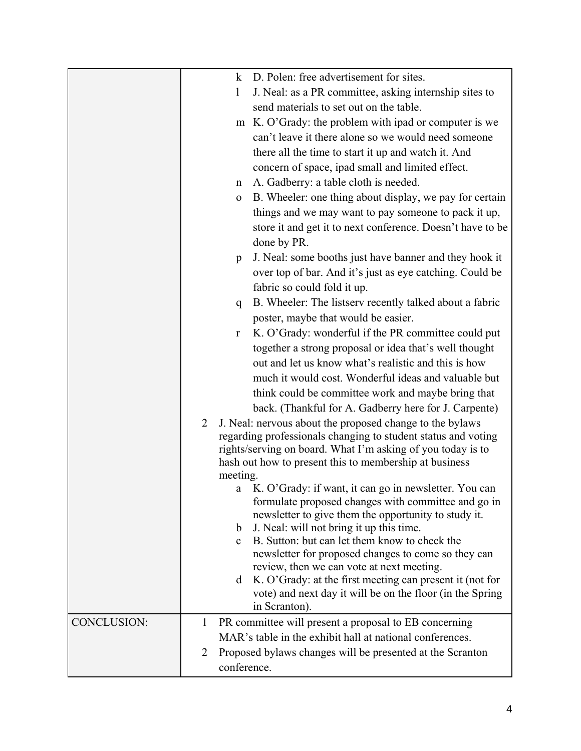|                    |                | $\bf k$      | D. Polen: free advertisement for sites.                                                                               |
|--------------------|----------------|--------------|-----------------------------------------------------------------------------------------------------------------------|
|                    |                | 1            | J. Neal: as a PR committee, asking internship sites to                                                                |
|                    |                |              | send materials to set out on the table.                                                                               |
|                    |                | m            | K. O'Grady: the problem with ipad or computer is we                                                                   |
|                    |                |              | can't leave it there alone so we would need someone                                                                   |
|                    |                |              | there all the time to start it up and watch it. And                                                                   |
|                    |                |              | concern of space, ipad small and limited effect.                                                                      |
|                    |                | n            | A. Gadberry: a table cloth is needed.                                                                                 |
|                    |                | $\mathbf 0$  | B. Wheeler: one thing about display, we pay for certain                                                               |
|                    |                |              | things and we may want to pay someone to pack it up,                                                                  |
|                    |                |              | store it and get it to next conference. Doesn't have to be                                                            |
|                    |                |              | done by PR.                                                                                                           |
|                    |                | p            | J. Neal: some booths just have banner and they hook it                                                                |
|                    |                |              | over top of bar. And it's just as eye catching. Could be                                                              |
|                    |                |              | fabric so could fold it up.                                                                                           |
|                    |                | q            | B. Wheeler: The listserv recently talked about a fabric                                                               |
|                    |                |              | poster, maybe that would be easier.                                                                                   |
|                    |                | r            | K. O'Grady: wonderful if the PR committee could put                                                                   |
|                    |                |              | together a strong proposal or idea that's well thought                                                                |
|                    |                |              | out and let us know what's realistic and this is how                                                                  |
|                    |                |              | much it would cost. Wonderful ideas and valuable but                                                                  |
|                    |                |              | think could be committee work and maybe bring that                                                                    |
|                    |                |              | back. (Thankful for A. Gadberry here for J. Carpente)                                                                 |
|                    | $\overline{2}$ |              | J. Neal: nervous about the proposed change to the bylaws                                                              |
|                    |                |              | regarding professionals changing to student status and voting                                                         |
|                    |                |              | rights/serving on board. What I'm asking of you today is to                                                           |
|                    |                |              | hash out how to present this to membership at business                                                                |
|                    |                | meeting.     | a K. O'Grady: if want, it can go in newsletter. You can                                                               |
|                    |                |              | formulate proposed changes with committee and go in                                                                   |
|                    |                |              | newsletter to give them the opportunity to study it.                                                                  |
|                    |                | $\mathbf b$  | J. Neal: will not bring it up this time.                                                                              |
|                    |                | $\mathbf{c}$ | B. Sutton: but can let them know to check the                                                                         |
|                    |                |              | newsletter for proposed changes to come so they can                                                                   |
|                    |                |              | review, then we can vote at next meeting.                                                                             |
|                    |                | d            | K. O'Grady: at the first meeting can present it (not for<br>vote) and next day it will be on the floor (in the Spring |
|                    |                |              | in Scranton).                                                                                                         |
| <b>CONCLUSION:</b> | $\mathbf{1}$   |              | PR committee will present a proposal to EB concerning                                                                 |
|                    |                |              | MAR's table in the exhibit hall at national conferences.                                                              |
|                    | 2              |              | Proposed bylaws changes will be presented at the Scranton                                                             |
|                    |                | conference.  |                                                                                                                       |
|                    |                |              |                                                                                                                       |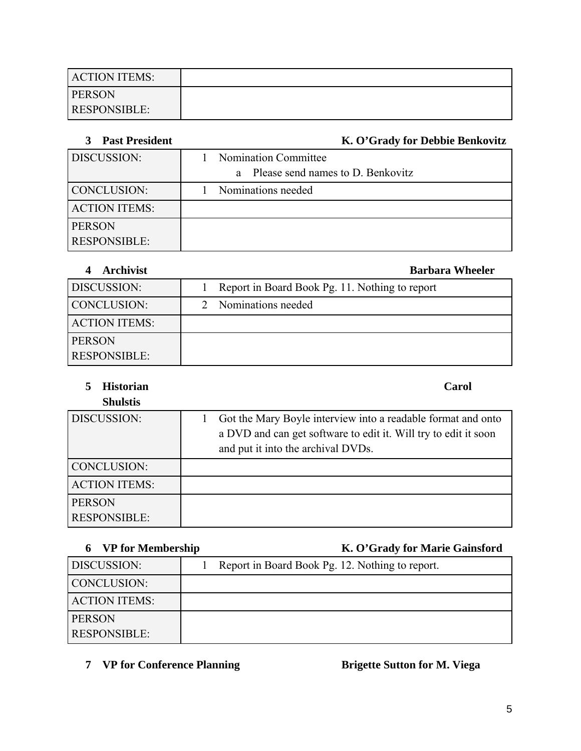| <b>ACTION ITEMS:</b> |  |
|----------------------|--|
| <b>PERSON</b>        |  |
| <b>RESPONSIBLE:</b>  |  |

| <b>Past President</b> | K. O'Grady for Debbie Benkovitz     |
|-----------------------|-------------------------------------|
| DISCUSSION:           | Nomination Committee                |
|                       | a Please send names to D. Benkovitz |
| <b>CONCLUSION:</b>    | Nominations needed                  |
| <b>ACTION ITEMS:</b>  |                                     |
| <b>PERSON</b>         |                                     |
| <b>RESPONSIBLE:</b>   |                                     |

# **4 Archivist Barbara Wheeler** DISCUSSION: 1 Report in Board Book Pg. 11. Nothing to report CONCLUSION: 2 Nominations needed ACTION ITEMS: PERSON RESPONSIBLE:

**5 Historian Carol Shulstis**

| waawuw                               |                                                                                                                                                                       |
|--------------------------------------|-----------------------------------------------------------------------------------------------------------------------------------------------------------------------|
| DISCUSSION:                          | Got the Mary Boyle interview into a readable format and onto<br>a DVD and can get software to edit it. Will try to edit it soon<br>and put it into the archival DVDs. |
| <b>CONCLUSION:</b>                   |                                                                                                                                                                       |
| <b>ACTION ITEMS:</b>                 |                                                                                                                                                                       |
| <b>PERSON</b><br><b>RESPONSIBLE:</b> |                                                                                                                                                                       |

# **6 VP for Membership K. O'Grady for Marie Gainsford**

|                      | $\cdot$                                         |
|----------------------|-------------------------------------------------|
| DISCUSSION:          | Report in Board Book Pg. 12. Nothing to report. |
| CONCLUSION:          |                                                 |
| <b>ACTION ITEMS:</b> |                                                 |
| <b>PERSON</b>        |                                                 |
| <b>RESPONSIBLE:</b>  |                                                 |

# **7 VP for Conference Planning Brigette Sutton for M. Viega**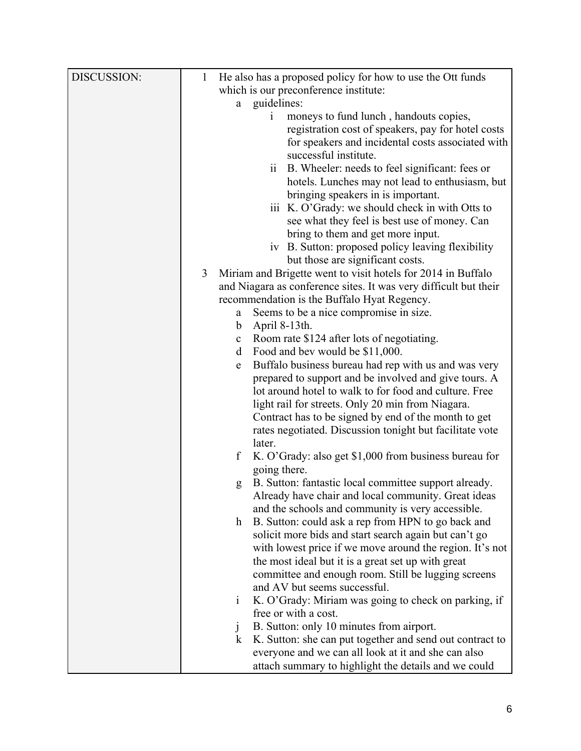| DISCUSSION: | He also has a proposed policy for how to use the Ott funds<br>1      |
|-------------|----------------------------------------------------------------------|
|             | which is our preconference institute:                                |
|             | guidelines:<br>a                                                     |
|             | moneys to fund lunch, handouts copies,<br>$\mathbf{1}$               |
|             | registration cost of speakers, pay for hotel costs                   |
|             | for speakers and incidental costs associated with                    |
|             | successful institute.                                                |
|             | B. Wheeler: needs to feel significant: fees or<br>11                 |
|             | hotels. Lunches may not lead to enthusiasm, but                      |
|             | bringing speakers in is important.                                   |
|             | iii K. O'Grady: we should check in with Otts to                      |
|             | see what they feel is best use of money. Can                         |
|             | bring to them and get more input.                                    |
|             | iv B. Sutton: proposed policy leaving flexibility                    |
|             | but those are significant costs.                                     |
|             | Miriam and Brigette went to visit hotels for 2014 in Buffalo<br>3    |
|             | and Niagara as conference sites. It was very difficult but their     |
|             | recommendation is the Buffalo Hyat Regency.                          |
|             | Seems to be a nice compromise in size.<br>a                          |
|             | April 8-13th.<br>b                                                   |
|             | Room rate \$124 after lots of negotiating.<br>$\mathbf c$            |
|             | Food and bev would be \$11,000.<br>d                                 |
|             | Buffalo business bureau had rep with us and was very<br>e            |
|             | prepared to support and be involved and give tours. A                |
|             | lot around hotel to walk to for food and culture. Free               |
|             | light rail for streets. Only 20 min from Niagara.                    |
|             | Contract has to be signed by end of the month to get                 |
|             | rates negotiated. Discussion tonight but facilitate vote             |
|             | later.                                                               |
|             | K. O'Grady: also get \$1,000 from business bureau for<br>f           |
|             | going there.                                                         |
|             | B. Sutton: fantastic local committee support already.<br>g           |
|             | Already have chair and local community. Great ideas                  |
|             | and the schools and community is very accessible.                    |
|             | B. Sutton: could ask a rep from HPN to go back and<br>$\mathbf{h}$   |
|             | solicit more bids and start search again but can't go                |
|             | with lowest price if we move around the region. It's not             |
|             | the most ideal but it is a great set up with great                   |
|             | committee and enough room. Still be lugging screens                  |
|             | and AV but seems successful.                                         |
|             | K. O'Grady: Miriam was going to check on parking, if<br>$\mathbf{i}$ |
|             | free or with a cost.                                                 |
|             | B. Sutton: only 10 minutes from airport.<br>$\mathbf{J}$             |
|             | K. Sutton: she can put together and send out contract to<br>$\bf k$  |
|             | everyone and we can all look at it and she can also                  |
|             | attach summary to highlight the details and we could                 |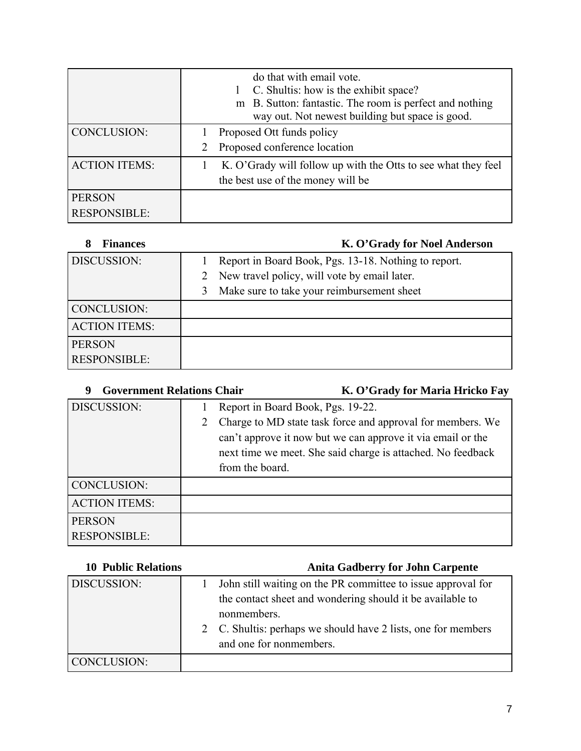|                                      | do that with email vote.<br>C. Shultis: how is the exhibit space?<br>m B. Sutton: fantastic. The room is perfect and nothing<br>way out. Not newest building but space is good. |  |
|--------------------------------------|---------------------------------------------------------------------------------------------------------------------------------------------------------------------------------|--|
| <b>CONCLUSION:</b>                   | Proposed Ott funds policy<br>Proposed conference location                                                                                                                       |  |
| <b>ACTION ITEMS:</b>                 | K. O'Grady will follow up with the Otts to see what they feel<br>the best use of the money will be                                                                              |  |
| <b>PERSON</b><br><b>RESPONSIBLE:</b> |                                                                                                                                                                                 |  |

| <b>Finances</b><br>8 | K. O'Grady for Noel Anderson                         |
|----------------------|------------------------------------------------------|
| DISCUSSION:          | Report in Board Book, Pgs. 13-18. Nothing to report. |
|                      | New travel policy, will vote by email later.<br>2    |
|                      | Make sure to take your reimbursement sheet           |
| <b>CONCLUSION:</b>   |                                                      |
| <b>ACTION ITEMS:</b> |                                                      |
| <b>PERSON</b>        |                                                      |
| <b>RESPONSIBLE:</b>  |                                                      |

| <b>Government Relations Chair</b><br>9 |                      | K. O'Grady for Maria Hricko Fay                                                                                                                                                                                               |
|----------------------------------------|----------------------|-------------------------------------------------------------------------------------------------------------------------------------------------------------------------------------------------------------------------------|
| DISCUSSION:                            | 2<br>from the board. | Report in Board Book, Pgs. 19-22.<br>Charge to MD state task force and approval for members. We<br>can't approve it now but we can approve it via email or the<br>next time we meet. She said charge is attached. No feedback |
| <b>CONCLUSION:</b>                     |                      |                                                                                                                                                                                                                               |
| <b>ACTION ITEMS:</b>                   |                      |                                                                                                                                                                                                                               |
| <b>PERSON</b><br><b>RESPONSIBLE:</b>   |                      |                                                                                                                                                                                                                               |

| <b>10 Public Relations</b> | <b>Anita Gadberry for John Carpente</b>                                                                                                                                                                                              |
|----------------------------|--------------------------------------------------------------------------------------------------------------------------------------------------------------------------------------------------------------------------------------|
| DISCUSSION:                | John still waiting on the PR committee to issue approval for<br>the contact sheet and wondering should it be available to<br>nonmembers.<br>2 C. Shultis: perhaps we should have 2 lists, one for members<br>and one for nonmembers. |
| CONCLUSION:                |                                                                                                                                                                                                                                      |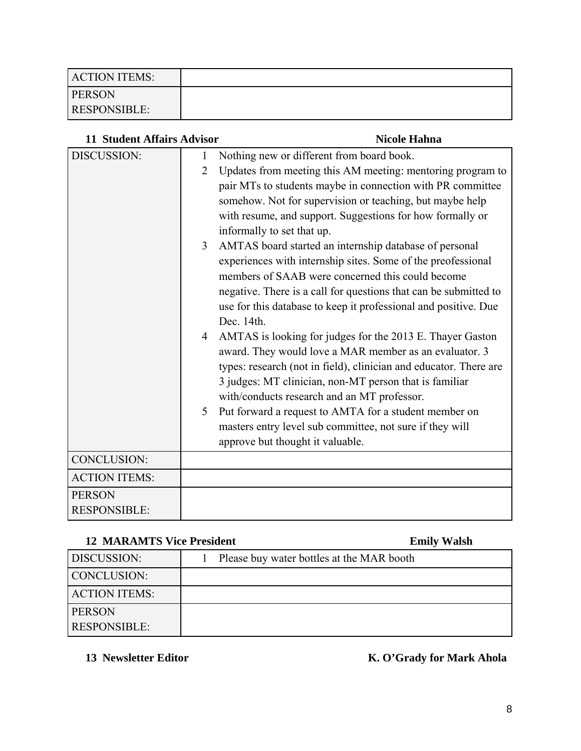| <b>ACTION ITEMS:</b> |  |
|----------------------|--|
| <b>PERSON</b>        |  |
| <b>RESPONSIBLE:</b>  |  |

| <b>11 Student Affairs Advisor</b> |                | <b>Nicole Hahna</b>                                               |
|-----------------------------------|----------------|-------------------------------------------------------------------|
| DISCUSSION:                       | 1              | Nothing new or different from board book.                         |
|                                   | $\overline{2}$ | Updates from meeting this AM meeting: mentoring program to        |
|                                   |                | pair MTs to students maybe in connection with PR committee        |
|                                   |                | somehow. Not for supervision or teaching, but maybe help          |
|                                   |                | with resume, and support. Suggestions for how formally or         |
|                                   |                | informally to set that up.                                        |
|                                   | 3 <sup>7</sup> | AMTAS board started an internship database of personal            |
|                                   |                | experiences with internship sites. Some of the preofessional      |
|                                   |                | members of SAAB were concerned this could become                  |
|                                   |                | negative. There is a call for questions that can be submitted to  |
|                                   |                | use for this database to keep it professional and positive. Due   |
|                                   |                | Dec. 14th.                                                        |
|                                   | $\overline{4}$ | AMTAS is looking for judges for the 2013 E. Thayer Gaston         |
|                                   |                | award. They would love a MAR member as an evaluator. 3            |
|                                   |                | types: research (not in field), clinician and educator. There are |
|                                   |                | 3 judges: MT clinician, non-MT person that is familiar            |
|                                   |                | with/conducts research and an MT professor.                       |
|                                   | 5              | Put forward a request to AMTA for a student member on             |
|                                   |                | masters entry level sub committee, not sure if they will          |
|                                   |                | approve but thought it valuable.                                  |
| CONCLUSION:                       |                |                                                                   |
| <b>ACTION ITEMS:</b>              |                |                                                                   |
| <b>PERSON</b>                     |                |                                                                   |
| <b>RESPONSIBLE:</b>               |                |                                                                   |

## **12 MARAMTS Vice President Emily Walsh**

| 12 REPORT FOR THE PROPERTY |                                           | <b>LAMAN 7</b><br>******** |
|----------------------------|-------------------------------------------|----------------------------|
| DISCUSSION:                | Please buy water bottles at the MAR booth |                            |
| CONCLUSION:                |                                           |                            |
| <b>ACTION ITEMS:</b>       |                                           |                            |
| <b>PERSON</b>              |                                           |                            |
| <b>RESPONSIBLE:</b>        |                                           |                            |

13 Newsletter Editor **K. O'Grady for Mark Ahola**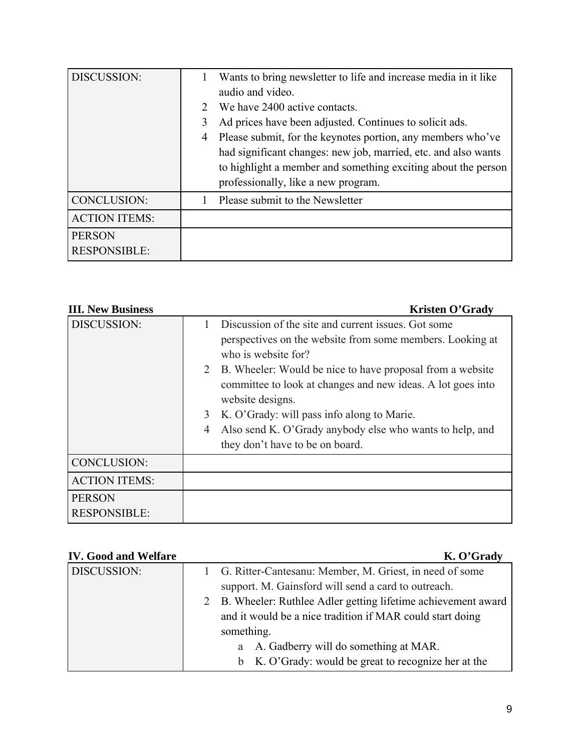| DISCUSSION:                          | audio and video.<br>$\mathcal{D}_{\mathcal{L}}$<br>3<br>4 | Wants to bring newsletter to life and increase media in it like<br>We have 2400 active contacts.<br>Ad prices have been adjusted. Continues to solicit ads.<br>Please submit, for the keynotes portion, any members who've<br>had significant changes: new job, married, etc. and also wants<br>to highlight a member and something exciting about the person<br>professionally, like a new program. |
|--------------------------------------|-----------------------------------------------------------|------------------------------------------------------------------------------------------------------------------------------------------------------------------------------------------------------------------------------------------------------------------------------------------------------------------------------------------------------------------------------------------------------|
| CONCLUSION:                          |                                                           | Please submit to the Newsletter                                                                                                                                                                                                                                                                                                                                                                      |
| <b>ACTION ITEMS:</b>                 |                                                           |                                                                                                                                                                                                                                                                                                                                                                                                      |
| <b>PERSON</b><br><b>RESPONSIBLE:</b> |                                                           |                                                                                                                                                                                                                                                                                                                                                                                                      |

| <b>III. New Business</b> | <b>Kristen O'Grady</b>                                                                                                                         |
|--------------------------|------------------------------------------------------------------------------------------------------------------------------------------------|
| DISCUSSION:              | Discussion of the site and current issues. Got some<br>perspectives on the website from some members. Looking at<br>who is website for?        |
|                          | 2 B. Wheeler: Would be nice to have proposal from a website<br>committee to look at changes and new ideas. A lot goes into<br>website designs. |
|                          | K. O'Grady: will pass info along to Marie.<br>3                                                                                                |
|                          | Also send K. O'Grady anybody else who wants to help, and<br>4<br>they don't have to be on board.                                               |
| CONCLUSION:              |                                                                                                                                                |
| <b>ACTION ITEMS:</b>     |                                                                                                                                                |
| <b>PERSON</b>            |                                                                                                                                                |
| <b>RESPONSIBLE:</b>      |                                                                                                                                                |

# **IV.** Good and Welfare K. O'Grady

| 1 Ovvu anu  , charc | $\mathbf{u} \cdot \mathbf{v}$ or $\mathbf{u} \cdot$                                                              |  |
|---------------------|------------------------------------------------------------------------------------------------------------------|--|
| DISCUSSION:         | 1 G. Ritter-Cantesanu: Member, M. Griest, in need of some<br>support. M. Gainsford will send a card to outreach. |  |
|                     |                                                                                                                  |  |
|                     | 2 B. Wheeler: Ruthlee Adler getting lifetime achievement award                                                   |  |
|                     | and it would be a nice tradition if MAR could start doing                                                        |  |
|                     | something.                                                                                                       |  |
|                     | a A. Gadberry will do something at MAR.                                                                          |  |
|                     | b K. O'Grady: would be great to recognize her at the                                                             |  |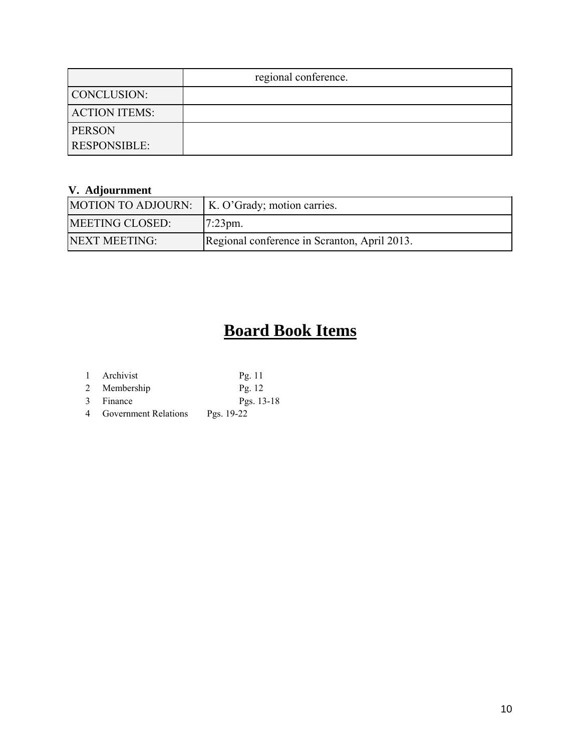|                      | regional conference. |
|----------------------|----------------------|
| CONCLUSION:          |                      |
| <b>ACTION ITEMS:</b> |                      |
| <b>PERSON</b>        |                      |
| <b>RESPONSIBLE:</b>  |                      |

# **V. Adjournment**

| MOTION TO ADJOURN:     | K. O'Grady; motion carries.                  |
|------------------------|----------------------------------------------|
| <b>MEETING CLOSED:</b> | $17:23 \text{pm}.$                           |
| NEXT MEETING:          | Regional conference in Scranton, April 2013. |

# **Board Book Items**

| 1 Archivist  | Pg. $11$     |
|--------------|--------------|
| 2 Membership | Pg. $12$     |
| 3 Finance    | Pgs. $13-18$ |

4 Government Relations Pgs. 19-22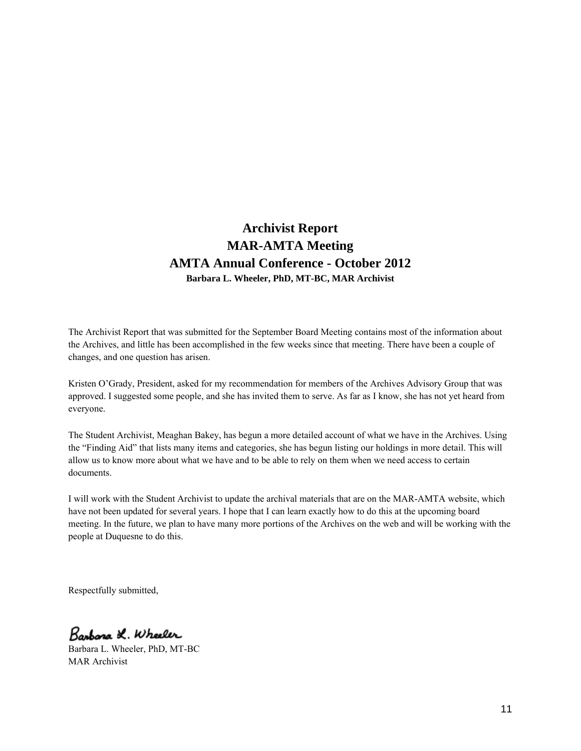# **Archivist Report MAR-AMTA Meeting AMTA Annual Conference - October 2012 Barbara L. Wheeler, PhD, MT-BC, MAR Archivist**

The Archivist Report that was submitted for the September Board Meeting contains most of the information about the Archives, and little has been accomplished in the few weeks since that meeting. There have been a couple of changes, and one question has arisen.

Kristen O'Grady, President, asked for my recommendation for members of the Archives Advisory Group that was approved. I suggested some people, and she has invited them to serve. As far as I know, she has not yet heard from everyone.

The Student Archivist, Meaghan Bakey, has begun a more detailed account of what we have in the Archives. Using the "Finding Aid" that lists many items and categories, she has begun listing our holdings in more detail. This will allow us to know more about what we have and to be able to rely on them when we need access to certain documents.

I will work with the Student Archivist to update the archival materials that are on the MAR-AMTA website, which have not been updated for several years. I hope that I can learn exactly how to do this at the upcoming board meeting. In the future, we plan to have many more portions of the Archives on the web and will be working with the people at Duquesne to do this.

Respectfully submitted,

Barbara L. Wheeler

Barbara L. Wheeler, PhD, MT-BC MAR Archivist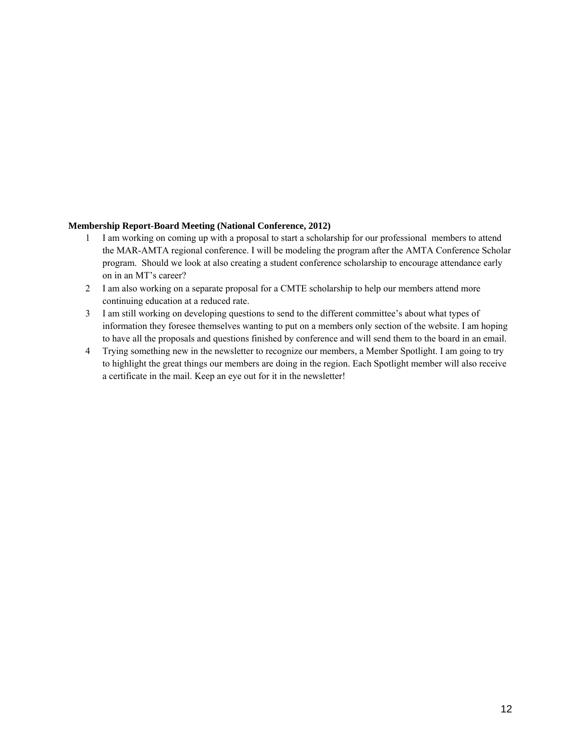#### **Membership Report-Board Meeting (National Conference, 2012)**

- 1 I am working on coming up with a proposal to start a scholarship for our professional members to attend the MAR-AMTA regional conference. I will be modeling the program after the AMTA Conference Scholar program. Should we look at also creating a student conference scholarship to encourage attendance early on in an MT's career?
- 2 I am also working on a separate proposal for a CMTE scholarship to help our members attend more continuing education at a reduced rate.
- 3 I am still working on developing questions to send to the different committee's about what types of information they foresee themselves wanting to put on a members only section of the website. I am hoping to have all the proposals and questions finished by conference and will send them to the board in an email.
- 4 Trying something new in the newsletter to recognize our members, a Member Spotlight. I am going to try to highlight the great things our members are doing in the region. Each Spotlight member will also receive a certificate in the mail. Keep an eye out for it in the newsletter!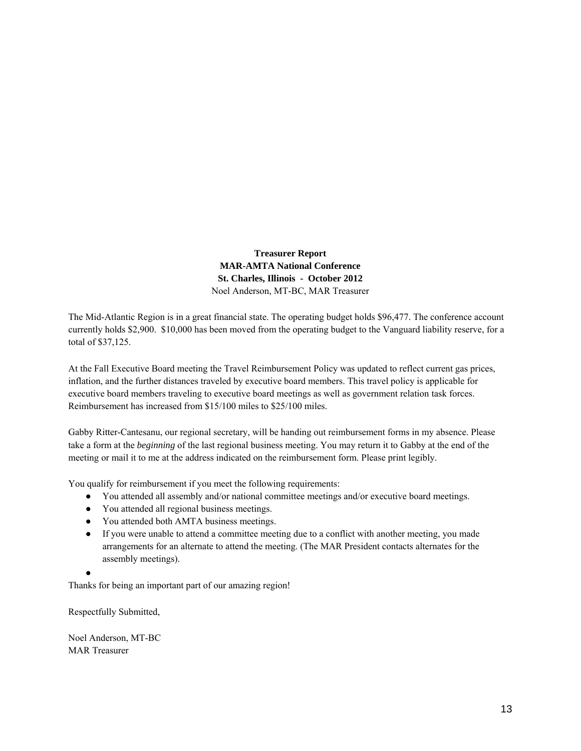**Treasurer Report MAR-AMTA National Conference St. Charles, Illinois - October 2012** Noel Anderson, MT-BC, MAR Treasurer

The Mid-Atlantic Region is in a great financial state. The operating budget holds \$96,477. The conference account currently holds \$2,900. \$10,000 has been moved from the operating budget to the Vanguard liability reserve, for a total of \$37,125.

At the Fall Executive Board meeting the Travel Reimbursement Policy was updated to reflect current gas prices, inflation, and the further distances traveled by executive board members. This travel policy is applicable for executive board members traveling to executive board meetings as well as government relation task forces. Reimbursement has increased from \$15/100 miles to \$25/100 miles.

Gabby Ritter-Cantesanu, our regional secretary, will be handing out reimbursement forms in my absence. Please take a form at the *beginning* of the last regional business meeting. You may return it to Gabby at the end of the meeting or mail it to me at the address indicated on the reimbursement form. Please print legibly.

You qualify for reimbursement if you meet the following requirements:

- You attended all assembly and/or national committee meetings and/or executive board meetings.
- You attended all regional business meetings.
- You attended both AMTA business meetings.
- If you were unable to attend a committee meeting due to a conflict with another meeting, you made arrangements for an alternate to attend the meeting. (The MAR President contacts alternates for the assembly meetings).

●

Thanks for being an important part of our amazing region!

Respectfully Submitted,

Noel Anderson, MT-BC MAR Treasurer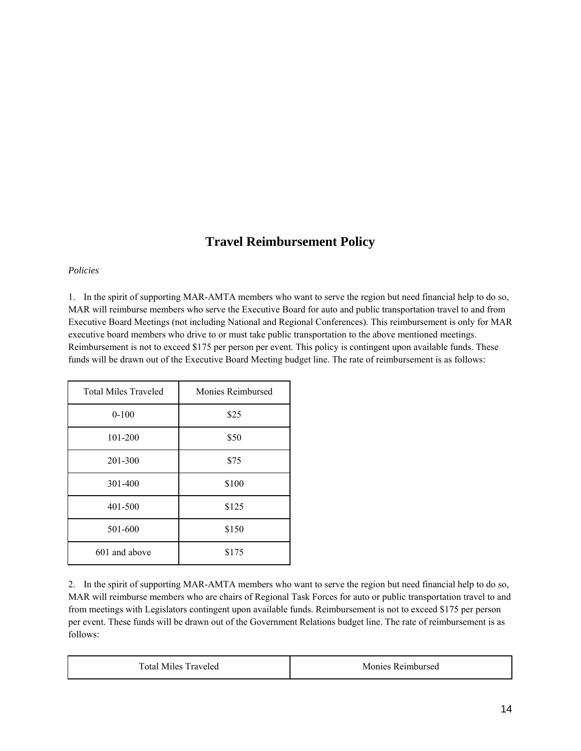# **Travel Reimbursement Policy**

#### *Policies*

1. In the spirit of supporting MAR-AMTA members who want to serve the region but need financial help to do so, MAR will reimburse members who serve the Executive Board for auto and public transportation travel to and from Executive Board Meetings (not including National and Regional Conferences). This reimbursement is only for MAR executive board members who drive to or must take public transportation to the above mentioned meetings. Reimbursement is not to exceed \$175 per person per event. This policy is contingent upon available funds. These funds will be drawn out of the Executive Board Meeting budget line. The rate of reimbursement is as follows:

| <b>Total Miles Traveled</b> | Monies Reimbursed |
|-----------------------------|-------------------|
| $0 - 100$                   | \$25              |
| 101-200                     | \$50              |
| 201-300                     | \$75              |
| 301-400                     | \$100             |
| 401-500                     | \$125             |
| 501-600                     | \$150             |
| 601 and above               | \$175             |

2. In the spirit of supporting MAR-AMTA members who want to serve the region but need financial help to do so, MAR will reimburse members who are chairs of Regional Task Forces for auto or public transportation travel to and from meetings with Legislators contingent upon available funds. Reimbursement is not to exceed \$175 per person per event. These funds will be drawn out of the Government Relations budget line. The rate of reimbursement is as follows:

| <b>Total Miles Traveled</b> | Monies Reimbursed |
|-----------------------------|-------------------|
|-----------------------------|-------------------|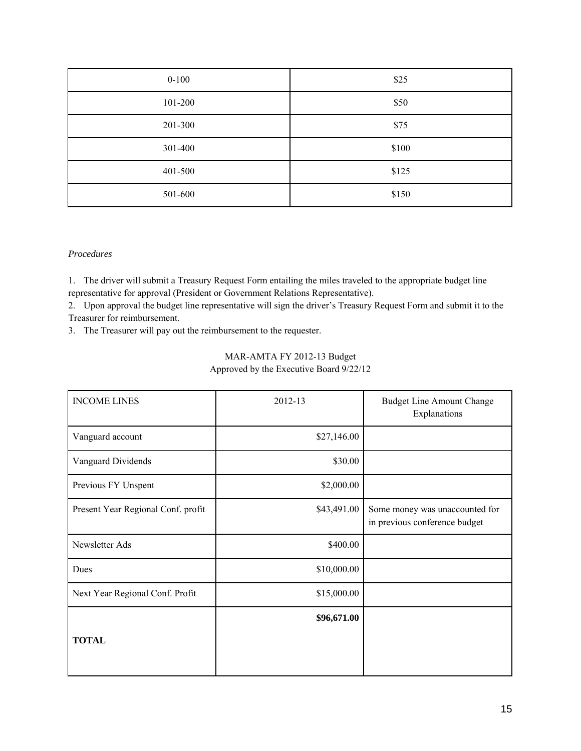| $0 - 100$ | \$25  |
|-----------|-------|
| 101-200   | \$50  |
| 201-300   | \$75  |
| 301-400   | \$100 |
| 401-500   | \$125 |
| 501-600   | \$150 |

#### *Procedures*

1. The driver will submit a Treasury Request Form entailing the miles traveled to the appropriate budget line representative for approval (President or Government Relations Representative).

2. Upon approval the budget line representative will sign the driver's Treasury Request Form and submit it to the Treasurer for reimbursement.

3. The Treasurer will pay out the reimbursement to the requester.

# MAR-AMTA FY 2012-13 Budget

Approved by the Executive Board 9/22/12

| <b>INCOME LINES</b>                | 2012-13     | <b>Budget Line Amount Change</b><br>Explanations                |
|------------------------------------|-------------|-----------------------------------------------------------------|
| Vanguard account                   | \$27,146.00 |                                                                 |
| Vanguard Dividends                 | \$30.00     |                                                                 |
| Previous FY Unspent                | \$2,000.00  |                                                                 |
| Present Year Regional Conf. profit | \$43,491.00 | Some money was unaccounted for<br>in previous conference budget |
| Newsletter Ads                     | \$400.00    |                                                                 |
| Dues                               | \$10,000.00 |                                                                 |
| Next Year Regional Conf. Profit    | \$15,000.00 |                                                                 |
| <b>TOTAL</b>                       | \$96,671.00 |                                                                 |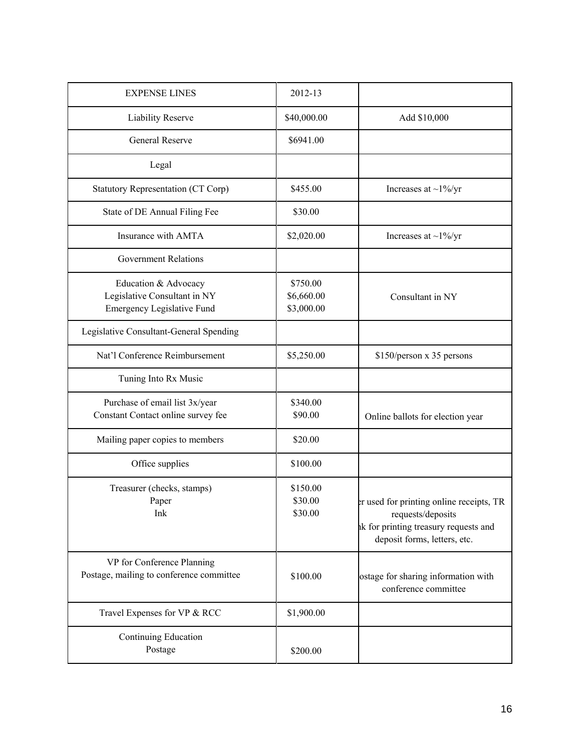| <b>EXPENSE LINES</b>                                                                      | 2012-13                              |                                                                                                                                        |
|-------------------------------------------------------------------------------------------|--------------------------------------|----------------------------------------------------------------------------------------------------------------------------------------|
| Liability Reserve                                                                         | \$40,000.00                          | Add \$10,000                                                                                                                           |
| <b>General Reserve</b>                                                                    | \$6941.00                            |                                                                                                                                        |
| Legal                                                                                     |                                      |                                                                                                                                        |
| Statutory Representation (CT Corp)                                                        | \$455.00                             | Increases at $\sim$ 1%/yr                                                                                                              |
| State of DE Annual Filing Fee                                                             | \$30.00                              |                                                                                                                                        |
| Insurance with AMTA                                                                       | \$2,020.00                           | Increases at $\sim$ 1%/yr                                                                                                              |
| <b>Government Relations</b>                                                               |                                      |                                                                                                                                        |
| Education & Advocacy<br>Legislative Consultant in NY<br><b>Emergency Legislative Fund</b> | \$750.00<br>\$6,660.00<br>\$3,000.00 | Consultant in NY                                                                                                                       |
| Legislative Consultant-General Spending                                                   |                                      |                                                                                                                                        |
| Nat'l Conference Reimbursement                                                            | \$5,250.00                           | \$150/person x 35 persons                                                                                                              |
| Tuning Into Rx Music                                                                      |                                      |                                                                                                                                        |
| Purchase of email list 3x/year<br>Constant Contact online survey fee                      | \$340.00<br>\$90.00                  | Online ballots for election year                                                                                                       |
| Mailing paper copies to members                                                           | \$20.00                              |                                                                                                                                        |
| Office supplies                                                                           | \$100.00                             |                                                                                                                                        |
| Treasurer (checks, stamps)<br>Paper<br>Ink                                                | \$150.00<br>\$30.00<br>\$30.00       | er used for printing online receipts, TR<br>requests/deposits<br>ik for printing treasury requests and<br>deposit forms, letters, etc. |
| VP for Conference Planning<br>Postage, mailing to conference committee                    | \$100.00                             | ostage for sharing information with<br>conference committee                                                                            |
| Travel Expenses for VP & RCC                                                              | \$1,900.00                           |                                                                                                                                        |
| Continuing Education<br>Postage                                                           | \$200.00                             |                                                                                                                                        |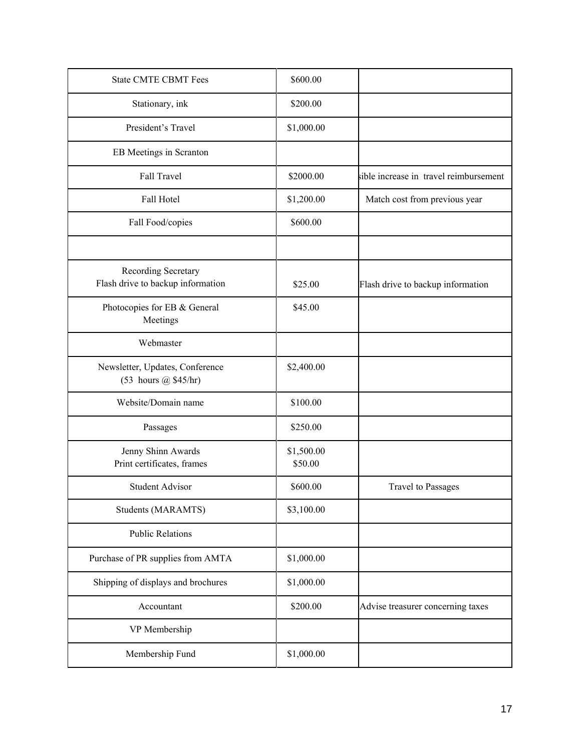| <b>State CMTE CBMT Fees</b>                              | \$600.00              |                                        |
|----------------------------------------------------------|-----------------------|----------------------------------------|
| Stationary, ink                                          | \$200.00              |                                        |
| President's Travel                                       | \$1,000.00            |                                        |
| EB Meetings in Scranton                                  |                       |                                        |
| Fall Travel                                              | \$2000.00             | sible increase in travel reimbursement |
| Fall Hotel                                               | \$1,200.00            | Match cost from previous year          |
| Fall Food/copies                                         | \$600.00              |                                        |
|                                                          |                       |                                        |
| Recording Secretary<br>Flash drive to backup information | \$25.00               | Flash drive to backup information      |
| Photocopies for EB & General<br>Meetings                 | \$45.00               |                                        |
| Webmaster                                                |                       |                                        |
| Newsletter, Updates, Conference<br>(53 hours @ \$45/hr)  | \$2,400.00            |                                        |
| Website/Domain name                                      | \$100.00              |                                        |
| Passages                                                 | \$250.00              |                                        |
| Jenny Shinn Awards<br>Print certificates, frames         | \$1,500.00<br>\$50.00 |                                        |
| <b>Student Advisor</b>                                   | \$600.00              | <b>Travel to Passages</b>              |
| Students (MARAMTS)                                       | \$3,100.00            |                                        |
| <b>Public Relations</b>                                  |                       |                                        |
| Purchase of PR supplies from AMTA                        | \$1,000.00            |                                        |
| Shipping of displays and brochures                       | \$1,000.00            |                                        |
| Accountant                                               | \$200.00              | Advise treasurer concerning taxes      |
| VP Membership                                            |                       |                                        |
| Membership Fund                                          | \$1,000.00            |                                        |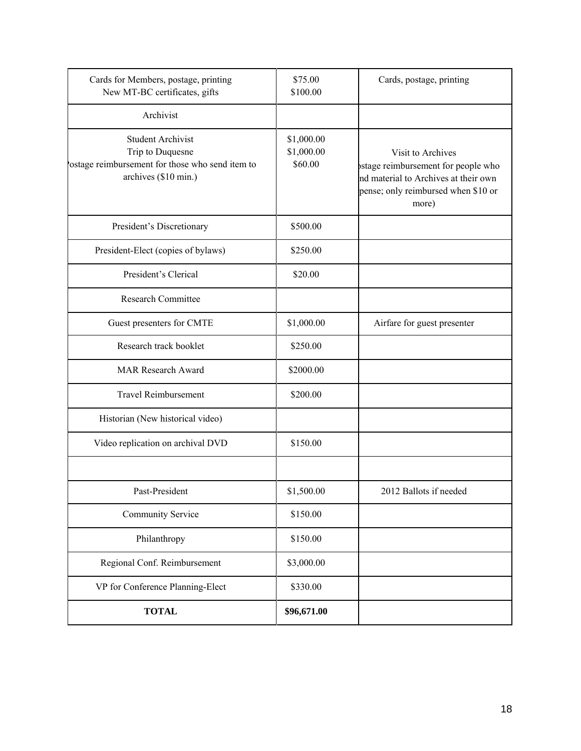| Cards for Members, postage, printing<br>New MT-BC certificates, gifts                                                   | \$75.00<br>\$100.00                 | Cards, postage, printing                                                                                                                         |
|-------------------------------------------------------------------------------------------------------------------------|-------------------------------------|--------------------------------------------------------------------------------------------------------------------------------------------------|
| Archivist                                                                                                               |                                     |                                                                                                                                                  |
| <b>Student Archivist</b><br>Trip to Duquesne<br>ostage reimbursement for those who send item to<br>archives (\$10 min.) | \$1,000.00<br>\$1,000.00<br>\$60.00 | Visit to Archives<br>ostage reimbursement for people who<br>nd material to Archives at their own<br>pense; only reimbursed when \$10 or<br>more) |
| President's Discretionary                                                                                               | \$500.00                            |                                                                                                                                                  |
| President-Elect (copies of bylaws)                                                                                      | \$250.00                            |                                                                                                                                                  |
| President's Clerical                                                                                                    | \$20.00                             |                                                                                                                                                  |
| <b>Research Committee</b>                                                                                               |                                     |                                                                                                                                                  |
| Guest presenters for CMTE                                                                                               | \$1,000.00                          | Airfare for guest presenter                                                                                                                      |
| Research track booklet                                                                                                  | \$250.00                            |                                                                                                                                                  |
| <b>MAR Research Award</b>                                                                                               | \$2000.00                           |                                                                                                                                                  |
| <b>Travel Reimbursement</b>                                                                                             | \$200.00                            |                                                                                                                                                  |
| Historian (New historical video)                                                                                        |                                     |                                                                                                                                                  |
| Video replication on archival DVD                                                                                       | \$150.00                            |                                                                                                                                                  |
|                                                                                                                         |                                     |                                                                                                                                                  |
| Past-President                                                                                                          | \$1,500.00                          | 2012 Ballots if needed                                                                                                                           |
| <b>Community Service</b>                                                                                                | \$150.00                            |                                                                                                                                                  |
| Philanthropy                                                                                                            | \$150.00                            |                                                                                                                                                  |
| Regional Conf. Reimbursement                                                                                            | \$3,000.00                          |                                                                                                                                                  |
| VP for Conference Planning-Elect                                                                                        | \$330.00                            |                                                                                                                                                  |
| <b>TOTAL</b>                                                                                                            | \$96,671.00                         |                                                                                                                                                  |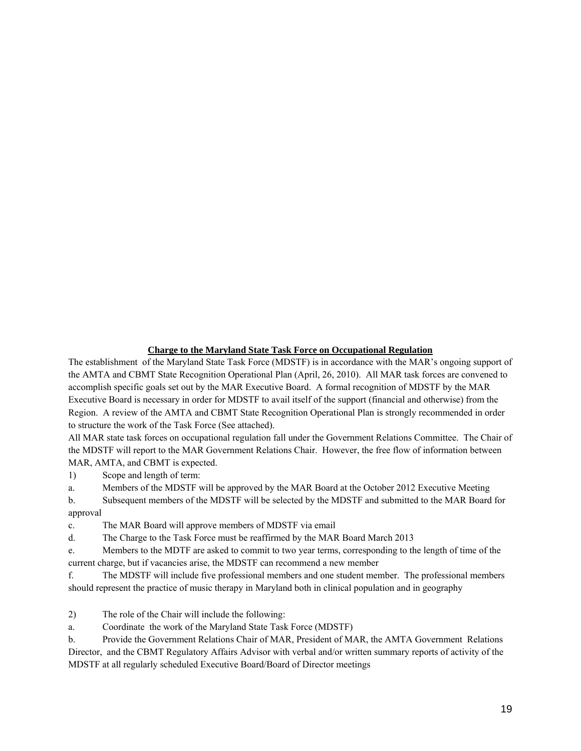### **Charge to the Maryland State Task Force on Occupational Regulation**

The establishment of the Maryland State Task Force (MDSTF) is in accordance with the MAR's ongoing support of the AMTA and CBMT State Recognition Operational Plan (April, 26, 2010). All MAR task forces are convened to accomplish specific goals set out by the MAR Executive Board. A formal recognition of MDSTF by the MAR Executive Board is necessary in order for MDSTF to avail itself of the support (financial and otherwise) from the Region. A review of the AMTA and CBMT State Recognition Operational Plan is strongly recommended in order to structure the work of the Task Force (See attached).

All MAR state task forces on occupational regulation fall under the Government Relations Committee. The Chair of the MDSTF will report to the MAR Government Relations Chair. However, the free flow of information between MAR, AMTA, and CBMT is expected.

1) Scope and length of term:

a. Members of the MDSTF will be approved by the MAR Board at the October 2012 Executive Meeting

b. Subsequent members of the MDSTF will be selected by the MDSTF and submitted to the MAR Board for approval

c. The MAR Board will approve members of MDSTF via email

d. The Charge to the Task Force must be reaffirmed by the MAR Board March 2013

e. Members to the MDTF are asked to commit to two year terms, corresponding to the length of time of the current charge, but if vacancies arise, the MDSTF can recommend a new member

f. The MDSTF will include five professional members and one student member. The professional members should represent the practice of music therapy in Maryland both in clinical population and in geography

2) The role of the Chair will include the following:

a. Coordinate the work of the Maryland State Task Force (MDSTF)

b. Provide the Government Relations Chair of MAR, President of MAR, the AMTA Government Relations Director, and the CBMT Regulatory Affairs Advisor with verbal and/or written summary reports of activity of the MDSTF at all regularly scheduled Executive Board/Board of Director meetings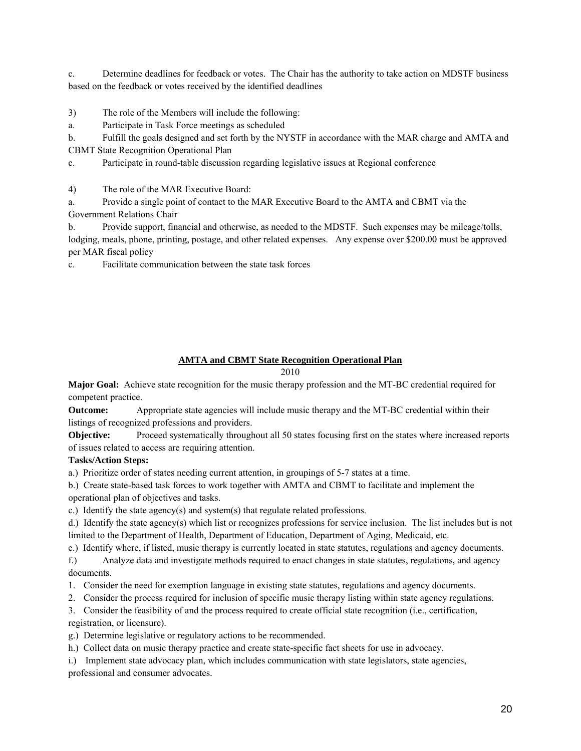c. Determine deadlines for feedback or votes. The Chair has the authority to take action on MDSTF business based on the feedback or votes received by the identified deadlines

3) The role of the Members will include the following:

a. Participate in Task Force meetings as scheduled

b. Fulfill the goals designed and set forth by the NYSTF in accordance with the MAR charge and AMTA and CBMT State Recognition Operational Plan

c. Participate in round-table discussion regarding legislative issues at Regional conference

4) The role of the MAR Executive Board:

a. Provide a single point of contact to the MAR Executive Board to the AMTA and CBMT via the Government Relations Chair

b. Provide support, financial and otherwise, as needed to the MDSTF. Such expenses may be mileage/tolls, lodging, meals, phone, printing, postage, and other related expenses. Any expense over \$200.00 must be approved per MAR fiscal policy

c. Facilitate communication between the state task forces

#### **AMTA and CBMT State Recognition Operational Plan**

2010

**Major Goal:** Achieve state recognition for the music therapy profession and the MT-BC credential required for competent practice.

**Outcome:** Appropriate state agencies will include music therapy and the MT-BC credential within their listings of recognized professions and providers.

**Objective:** Proceed systematically throughout all 50 states focusing first on the states where increased reports of issues related to access are requiring attention.

#### **Tasks/Action Steps:**

a.) Prioritize order of states needing current attention, in groupings of 5-7 states at a time.

b.) Create state-based task forces to work together with AMTA and CBMT to facilitate and implement the

operational plan of objectives and tasks.

c.) Identify the state agency(s) and system(s) that regulate related professions.

d.) Identify the state agency(s) which list or recognizes professions for service inclusion. The list includes but is not limited to the Department of Health, Department of Education, Department of Aging, Medicaid, etc.

e.) Identify where, if listed, music therapy is currently located in state statutes, regulations and agency documents.

f.) Analyze data and investigate methods required to enact changes in state statutes, regulations, and agency documents.

- 1. Consider the need for exemption language in existing state statutes, regulations and agency documents.
- 2. Consider the process required for inclusion of specific music therapy listing within state agency regulations.

3. Consider the feasibility of and the process required to create official state recognition (i.e., certification,

registration, or licensure).

g.) Determine legislative or regulatory actions to be recommended.

h.) Collect data on music therapy practice and create state-specific fact sheets for use in advocacy.

i.) Implement state advocacy plan, which includes communication with state legislators, state agencies, professional and consumer advocates.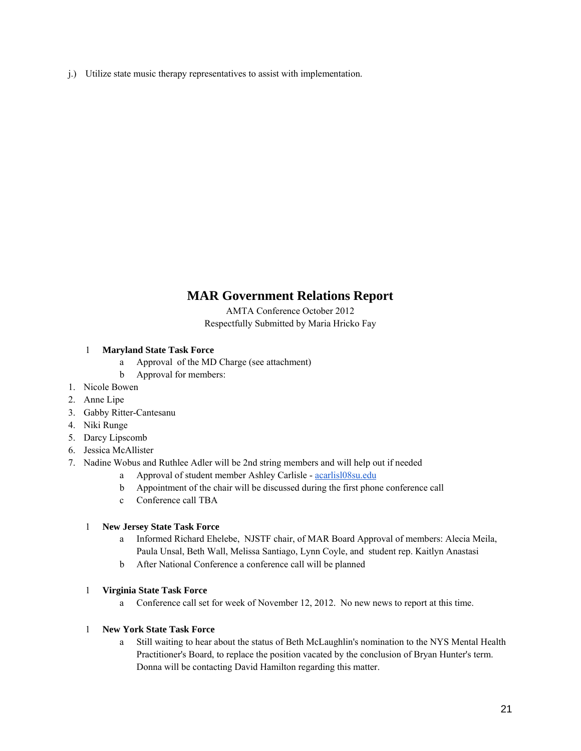j.) Utilize state music therapy representatives to assist with implementation.

# **MAR Government Relations Report**

AMTA Conference October 2012 Respectfully Submitted by Maria Hricko Fay

### 1 **Maryland State Task Force**

- a Approval of the MD Charge (see attachment)
- b Approval for members:
- 1. Nicole Bowen
- 2. Anne Lipe
- 3. Gabby Ritter-Cantesanu
- 4. Niki Runge
- 5. Darcy Lipscomb
- 6. Jessica McAllister
- 7. Nadine Wobus and Ruthlee Adler will be 2nd string members and will help out if needed
	- a Approval of student member Ashley Carlisle acarlisl08su.edu
	- b Appointment of the chair will be discussed during the first phone conference call
	- c Conference call TBA

### 1 **New Jersey State Task Force**

- a Informed Richard Ehelebe, NJSTF chair, of MAR Board Approval of members: Alecia Meila, Paula Unsal, Beth Wall, Melissa Santiago, Lynn Coyle, and student rep. Kaitlyn Anastasi
- b After National Conference a conference call will be planned

#### 1 **Virginia State Task Force**

a Conference call set for week of November 12, 2012. No new news to report at this time.

#### 1 **New York State Task Force**

a Still waiting to hear about the status of Beth McLaughlin's nomination to the NYS Mental Health Practitioner's Board, to replace the position vacated by the conclusion of Bryan Hunter's term. Donna will be contacting David Hamilton regarding this matter.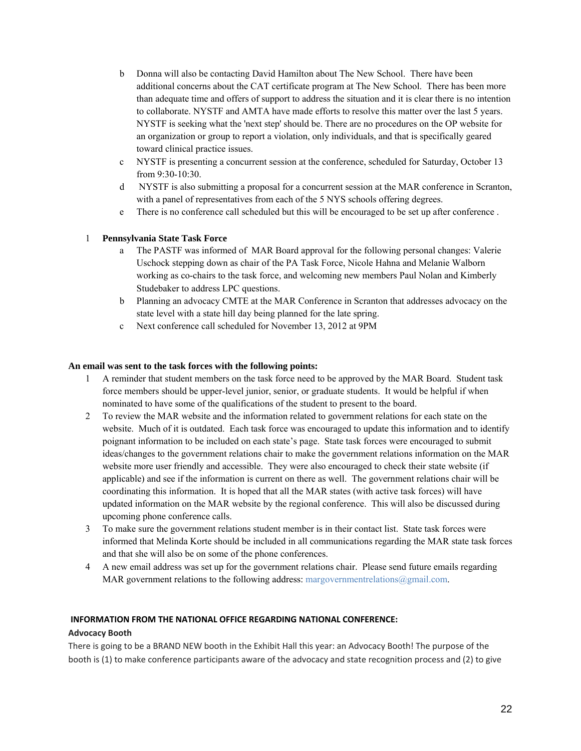- b Donna will also be contacting David Hamilton about The New School. There have been additional concerns about the CAT certificate program at The New School. There has been more than adequate time and offers of support to address the situation and it is clear there is no intention to collaborate. NYSTF and AMTA have made efforts to resolve this matter over the last 5 years. NYSTF is seeking what the 'next step' should be. There are no procedures on the OP website for an organization or group to report a violation, only individuals, and that is specifically geared toward clinical practice issues.
- c NYSTF is presenting a concurrent session at the conference, scheduled for Saturday, October 13 from 9:30-10:30.
- d NYSTF is also submitting a proposal for a concurrent session at the MAR conference in Scranton, with a panel of representatives from each of the 5 NYS schools offering degrees.
- e There is no conference call scheduled but this will be encouraged to be set up after conference .

#### 1 **Pennsylvania State Task Force**

- a The PASTF was informed of MAR Board approval for the following personal changes: Valerie Uschock stepping down as chair of the PA Task Force, Nicole Hahna and Melanie Walborn working as co-chairs to the task force, and welcoming new members Paul Nolan and Kimberly Studebaker to address LPC questions.
- b Planning an advocacy CMTE at the MAR Conference in Scranton that addresses advocacy on the state level with a state hill day being planned for the late spring.
- c Next conference call scheduled for November 13, 2012 at 9PM

#### **An email was sent to the task forces with the following points:**

- 1 A reminder that student members on the task force need to be approved by the MAR Board. Student task force members should be upper-level junior, senior, or graduate students. It would be helpful if when nominated to have some of the qualifications of the student to present to the board.
- 2 To review the MAR website and the information related to government relations for each state on the website. Much of it is outdated. Each task force was encouraged to update this information and to identify poignant information to be included on each state's page. State task forces were encouraged to submit ideas/changes to the government relations chair to make the government relations information on the MAR website more user friendly and accessible. They were also encouraged to check their state website (if applicable) and see if the information is current on there as well. The government relations chair will be coordinating this information. It is hoped that all the MAR states (with active task forces) will have updated information on the MAR website by the regional conference. This will also be discussed during upcoming phone conference calls.
- 3 To make sure the government relations student member is in their contact list. State task forces were informed that Melinda Korte should be included in all communications regarding the MAR state task forces and that she will also be on some of the phone conferences.
- 4 A new email address was set up for the government relations chair. Please send future emails regarding MAR government relations to the following address: margovernmentrelations@gmail.com.

#### **INFORMATION FROM THE NATIONAL OFFICE REGARDING NATIONAL CONFERENCE:**

#### **Advocacy Booth**

There is going to be a BRAND NEW booth in the Exhibit Hall this year: an Advocacy Booth! The purpose of the booth is (1) to make conference participants aware of the advocacy and state recognition process and (2) to give